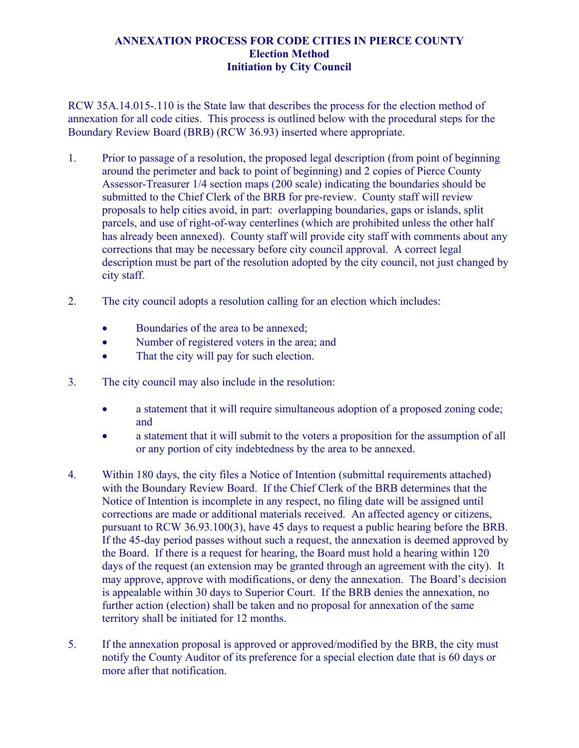## **ANNEXATION PROCESS FOR CODE CITIES IN PIERCE COUNTY Election Method Initiation by City Council**

RCW 35A.14.015-.110 is the State law that describes the process for the election method of annexation for all code cities. This process is outlined below with the procedural steps for the Boundary Review Board (BRB) (RCW 36.93) inserted where appropriate.

- 1. Prior to passage of a resolution, the proposed legal description (from point of beginning around the perimeter and back to point of beginning) and 2 copies of Pierce County Assessor-Treasurer 1/4 section maps (200 scale) indicating the boundaries should be submitted to the Chief Clerk of the BRB for pre-review. County staff will review proposals to help cities avoid, in part: overlapping boundaries, gaps or islands, split parcels, and use of right-of-way centerlines (which are prohibited unless the other half has already been annexed). County staff will provide city staff with comments about any corrections that may be necessary before city council approval. A correct legal description must be part of the resolution adopted by the city council, not just changed by city staff.
- 2. The city council adopts a resolution calling for an election which includes:
	- Boundaries of the area to be annexed;
	- Number of registered voters in the area; and
	- That the city will pay for such election.
- 3. The city council may also include in the resolution:
	- a statement that it will require simultaneous adoption of a proposed zoning code; and
	- a statement that it will submit to the voters a proposition for the assumption of all or any portion of city indebtedness by the area to be annexed.
- 4. Within 180 days, the city files a Notice of Intention (submittal requirements attached) with the Boundary Review Board. If the Chief Clerk of the BRB determines that the Notice of Intention is incomplete in any respect, no filing date will be assigned until corrections are made or additional materials received. An affected agency or citizens, pursuant to RCW 36.93.100(3), have 45 days to request a public hearing before the BRB. If the 45-day period passes without such a request, the annexation is deemed approved by the Board. If there is a request for hearing, the Board must hold a hearing within 120 days of the request (an extension may be granted through an agreement with the city). It may approve, approve with modifications, or deny the annexation. The Board's decision is appealable within 30 days to Superior Court. If the BRB denies the annexation, no further action (election) shall be taken and no proposal for annexation of the same territory shall be initiated for 12 months.
- 5. If the annexation proposal is approved or approved/modified by the BRB, the city must notify the County Auditor of its preference for a special election date that is 60 days or more after that notification.